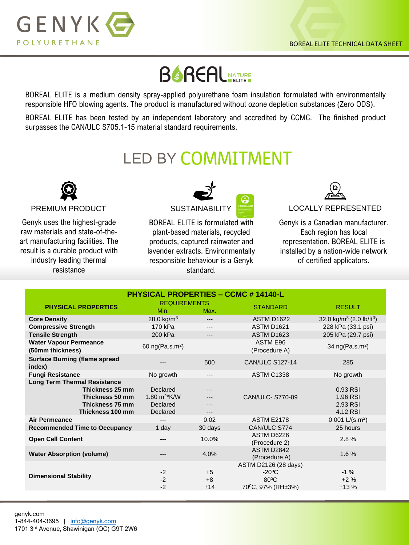

BOREAL ELITE is a medium density spray-applied polyurethane foam insulation formulated with environmentally responsible HFO blowing agents. The product is manufactured without ozone depletion substances (Zero ODS).

BOREAL ELITE has been tested by an independent laboratory and accredited by CCMC. The finished product surpasses the CAN/ULC S705.1-15 material standard requirements.

## **LED BY COMMITMENT**



Genyk uses the highest-grade raw materials and state-of-theart manufacturing facilities. The result is a durable product with industry leading thermal resistance



BOREAL ELITE is formulated with plant-based materials, recycled products, captured rainwater and lavender extracts. Environmentally responsible behaviour is a Genyk standard.



Genyk is a Canadian manufacturer. Each region has local representation. BOREAL ELITE is installed by a nation-wide network of certified applicators.

| <b>PHYSICAL PROPERTIES - CCMC #14140-L</b>                                                                       |                                                                 |                       |                                                                                             |                                                  |  |
|------------------------------------------------------------------------------------------------------------------|-----------------------------------------------------------------|-----------------------|---------------------------------------------------------------------------------------------|--------------------------------------------------|--|
| <b>PHYSICAL PROPERTIES</b>                                                                                       | <b>REQUIREMENTS</b><br>Min.                                     | Max.                  | <b>STANDARD</b>                                                                             | <b>RESULT</b>                                    |  |
| <b>Core Density</b>                                                                                              | 28.0 kg/ $m3$                                                   | ---                   | <b>ASTM D1622</b>                                                                           | 32.0 kg/m <sup>3</sup> (2.0 lb/ft <sup>3</sup> ) |  |
| <b>Compressive Strength</b>                                                                                      | 170 kPa                                                         | ---                   | <b>ASTM D1621</b>                                                                           | 228 kPa (33.1 psi)                               |  |
| <b>Tensile Strength</b>                                                                                          | 200 kPa                                                         | ---                   | <b>ASTM D1623</b>                                                                           | 205 kPa (29.7 psi)                               |  |
| <b>Water Vapour Permeance</b><br>(50mm thickness)                                                                | 60 $ng(Pa.s.m2)$                                                |                       | ASTM E96<br>(Procedure A)                                                                   | 34 $ng(Pa.s.m2)$                                 |  |
| <b>Surface Burning (flame spread</b><br>index)                                                                   | ---                                                             | 500                   | <b>CAN/ULC S127-14</b>                                                                      | 285                                              |  |
| <b>Fungi Resistance</b>                                                                                          | No growth                                                       | $---$                 | <b>ASTM C1338</b>                                                                           | No growth                                        |  |
| <b>Long Term Thermal Resistance</b><br>Thickness 25 mm<br>Thickness 50 mm<br>Thickness 75 mm<br>Thickness 100 mm | Declared<br>1.80 $m^2$ <sup>*</sup> K/W<br>Declared<br>Declared |                       | CAN/ULC- S770-09                                                                            | 0.93 RSI<br>1.96 RSI<br>2.93 RSI<br>4.12 RSI     |  |
| <b>Air Permeance</b>                                                                                             | $---$                                                           | 0.02                  | <b>ASTM E2178</b>                                                                           | $0.001$ L/(s.m <sup>2</sup> )                    |  |
| <b>Recommended Time to Occupancy</b>                                                                             | 1 day                                                           | 30 days               | CAN/ULC S774                                                                                | 25 hours                                         |  |
| <b>Open Cell Content</b>                                                                                         | ---                                                             | 10.0%                 | ASTM D6226<br>(Procedure 2)                                                                 | 2.8%                                             |  |
| <b>Water Absorption (volume)</b>                                                                                 | ---                                                             | 4.0%                  | ASTM D2842<br>(Procedure A)                                                                 | 1.6%                                             |  |
| <b>Dimensional Stability</b>                                                                                     | $-2$<br>$-2$<br>$-2$                                            | $+5$<br>$+8$<br>$+14$ | ASTM D2126 (28 days)<br>$-20^{\circ}$ C<br>$80^{\circ}$ C<br>70 <sup>°</sup> C, 97% (RH±3%) | $-1\%$<br>$+2%$<br>$+13%$                        |  |